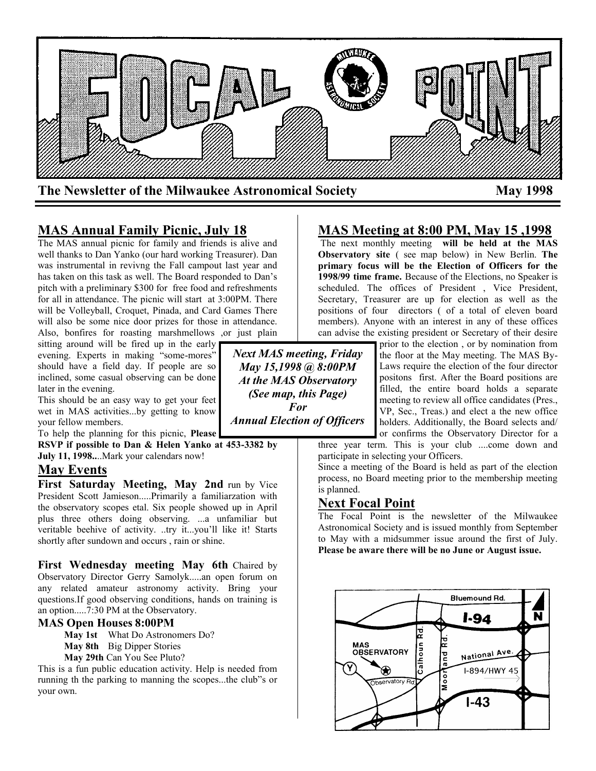

# **MAS Annual Family Picnic, July 18**

The MAS annual picnic for family and friends is alive and well thanks to Dan Yanko (our hard working Treasurer). Dan was instrumental in revivng the Fall campout last year and has taken on this task as well. The Board responded to Dan's pitch with a preliminary \$300 for free food and refreshments for all in attendance. The picnic will start at 3:00PM. There will be Volleyball, Croquet, Pinada, and Card Games There will also be some nice door prizes for those in attendance. Also, bonfires for roasting marshmellows ,or just plain

sitting around will be fired up in the early evening. Experts in making "some-mores" should have a field day. If people are so inclined, some casual observing can be done later in the evening.

This should be an easy way to get your feet wet in MAS activities...by getting to know your fellow members.

To help the planning for this picnic, **Please** 

**RSVP if possible to Dan & Helen Yanko at 453-3382 by July 11, 1998..**..Mark your calendars now!

### **May Events**

**First Saturday Meeting, May 2nd** run by Vice President Scott Jamieson.....Primarily a familiarzation with the observatory scopes etal. Six people showed up in April plus three others doing observing. ...a unfamiliar but veritable beehive of activity. ..try it...you'll like it! Starts shortly after sundown and occurs , rain or shine.

**First Wednesday meeting May 6th** Chaired by Observatory Director Gerry Samolyk.....an open forum on any related amateur astronomy activity. Bring your questions.If good observing conditions, hands on training is an option.....7:30 PM at the Observatory.

#### **MAS Open Houses 8:00PM**

**May 1st** What Do Astronomers Do?

**May 8th** Big Dipper Stories

**May 29th** Can You See Pluto?

This is a fun public education activity. Help is needed from running th the parking to manning the scopes...the club"s or your own.

**MAS Meeting at 8:00 PM, May 15 ,1998**

The next monthly meeting **will be held at the MAS Observatory site** ( see map below) in New Berlin. **The primary focus will be the Election of Officers for the 1998/99 time frame.** Because of the Elections, no Speaker is scheduled. The offices of President, Vice President, Secretary, Treasurer are up for election as well as the positions of four directors ( of a total of eleven board members). Anyone with an interest in any of these offices can advise the existing president or Secretary of their desire

> prior to the election , or by nomination from the floor at the May meeting. The MAS By-Laws require the election of the four director positons first. After the Board positions are filled, the entire board holds a separate meeting to review all office candidates (Pres., VP, Sec., Treas.) and elect a the new office holders. Additionally, the Board selects and/ or confirms the Observatory Director for a

three year term. This is your club ....come down and participate in selecting your Officers.

Since a meeting of the Board is held as part of the election process, no Board meeting prior to the membership meeting is planned.

# **Next Focal Point**

The Focal Point is the newsletter of the Milwaukee Astronomical Society and is issued monthly from September to May with a midsummer issue around the first of July. **Please be aware there will be no June or August issue.**



*Next MAS meeting, Friday May 15,1998 @ 8:00PM At the MAS Observatory (See map, this Page) For Annual Election of Officers*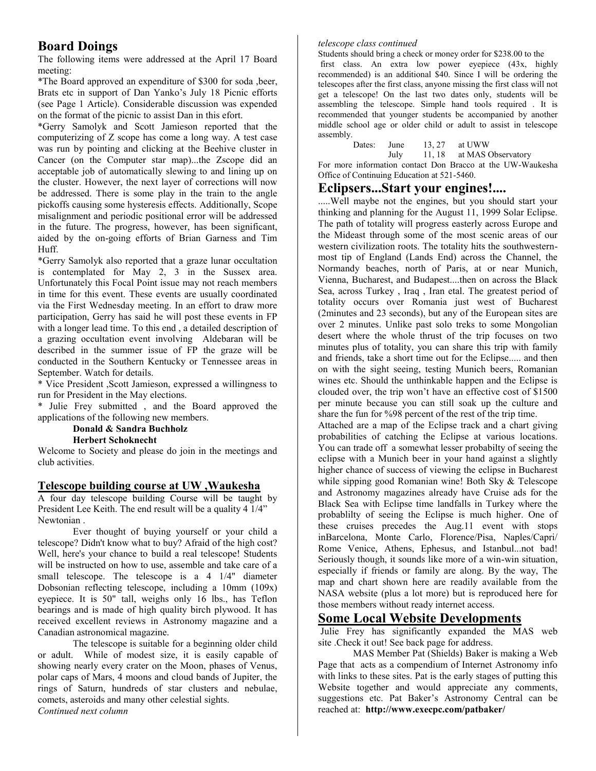# **Board Doings**

The following items were addressed at the April 17 Board meeting:

\*The Board approved an expenditure of \$300 for soda ,beer, Brats etc in support of Dan Yanko's July 18 Picnic efforts (see Page 1 Article). Considerable discussion was expended on the format of the picnic to assist Dan in this efort.

\*Gerry Samolyk and Scott Jamieson reported that the computerizing of Z scope has come a long way. A test case was run by pointing and clicking at the Beehive cluster in Cancer (on the Computer star map)...the Zscope did an acceptable job of automatically slewing to and lining up on the cluster. However, the next layer of corrections will now be addressed. There is some play in the train to the angle pickoffs causing some hysteresis effects. Additionally, Scope misalignment and periodic positional error will be addressed in the future. The progress, however, has been significant, aided by the on-going efforts of Brian Garness and Tim Huff.

\*Gerry Samolyk also reported that a graze lunar occultation is contemplated for May 2, 3 in the Sussex area. Unfortunately this Focal Point issue may not reach members in time for this event. These events are usually coordinated via the First Wednesday meeting. In an effort to draw more participation, Gerry has said he will post these events in FP with a longer lead time. To this end , a detailed description of a grazing occultation event involving Aldebaran will be described in the summer issue of FP the graze will be conducted in the Southern Kentucky or Tennessee areas in September. Watch for details.

\* Vice President ,Scott Jamieson, expressed a willingness to run for President in the May elections.

\* Julie Frey submitted , and the Board approved the applications of the following new members.

### **Donald & Sandra Buchholz**

### **Herbert Schoknecht**

Welcome to Society and please do join in the meetings and club activities.

### **Telescope building course at UW ,Waukesha**

A four day telescope building Course will be taught by President Lee Keith. The end result will be a quality 4 1/4" Newtonian .

Ever thought of buying yourself or your child a telescope? Didn't know what to buy? Afraid of the high cost? Well, here's your chance to build a real telescope! Students will be instructed on how to use, assemble and take care of a small telescope. The telescope is a 4 1/4" diameter Dobsonian reflecting telescope, including a 10mm (109x) eyepiece. It is 50" tall, weighs only 16 lbs., has Teflon bearings and is made of high quality birch plywood. It has received excellent reviews in Astronomy magazine and a Canadian astronomical magazine.

The telescope is suitable for a beginning older child or adult. While of modest size, it is easily capable of showing nearly every crater on the Moon, phases of Venus, polar caps of Mars, 4 moons and cloud bands of Jupiter, the rings of Saturn, hundreds of star clusters and nebulae, comets, asteroids and many other celestial sights. *Continued next column*

#### *telescope class continued*

Students should bring a check or money order for \$238.00 to the first class. An extra low power eyepiece (43x, highly recommended) is an additional \$40. Since I will be ordering the telescopes after the first class, anyone missing the first class will not get a telescope! On the last two dates only, students will be assembling the telescope. Simple hand tools required . It is recommended that younger students be accompanied by another middle school age or older child or adult to assist in telescope assembly.<br>Dates:

June 13, 27 at UWW<br>July 11, 18 at MAS 0

July 11, 18 at MAS Observatory

For more information contact Don Bracco at the UW-Waukesha Office of Continuing Education at 521-5460.

### **Eclipsers...Start your engines!....**

.....Well maybe not the engines, but you should start your thinking and planning for the August 11, 1999 Solar Eclipse. The path of totality will progress easterly across Europe and the Mideast through some of the most scenic areas of our western civilization roots. The totality hits the southwesternmost tip of England (Lands End) across the Channel, the Normandy beaches, north of Paris, at or near Munich, Vienna, Bucharest, and Budapest....then on across the Black Sea, across Turkey , Iraq , Iran etal. The greatest period of totality occurs over Romania just west of Bucharest (2minutes and 23 seconds), but any of the European sites are over 2 minutes. Unlike past solo treks to some Mongolian desert where the whole thrust of the trip focuses on two minutes plus of totality, you can share this trip with family and friends, take a short time out for the Eclipse..... and then on with the sight seeing, testing Munich beers, Romanian wines etc. Should the unthinkable happen and the Eclipse is clouded over, the trip won't have an effective cost of \$1500 per minute because you can still soak up the culture and share the fun for %98 percent of the rest of the trip time.

Attached are a map of the Eclipse track and a chart giving probabilities of catching the Eclipse at various locations. You can trade off a somewhat lesser probabilty of seeing the eclipse with a Munich beer in your hand against a slightly higher chance of success of viewing the eclipse in Bucharest while sipping good Romanian wine! Both Sky & Telescope and Astronomy magazines already have Cruise ads for the Black Sea with Eclipse time landfalls in Turkey where the probablilty of seeing the Eclipse is much higher. One of these cruises precedes the Aug.11 event with stops inBarcelona, Monte Carlo, Florence/Pisa, Naples/Capri/ Rome Venice, Athens, Ephesus, and Istanbul...not bad! Seriously though, it sounds like more of a win-win situation, especially if friends or family are along. By the way, The map and chart shown here are readily available from the NASA website (plus a lot more) but is reproduced here for those members without ready internet access.

# **Some Local Website Developments**

Julie Frey has significantly expanded the MAS web site .Check it out! See back page for address.

MAS Member Pat (Shields) Baker is making a Web Page that acts as a compendium of Internet Astronomy info with links to these sites. Pat is the early stages of putting this Website together and would appreciate any comments, suggestions etc. Pat Baker's Astronomy Central can be reached at: **http://www.execpc.com/patbaker/**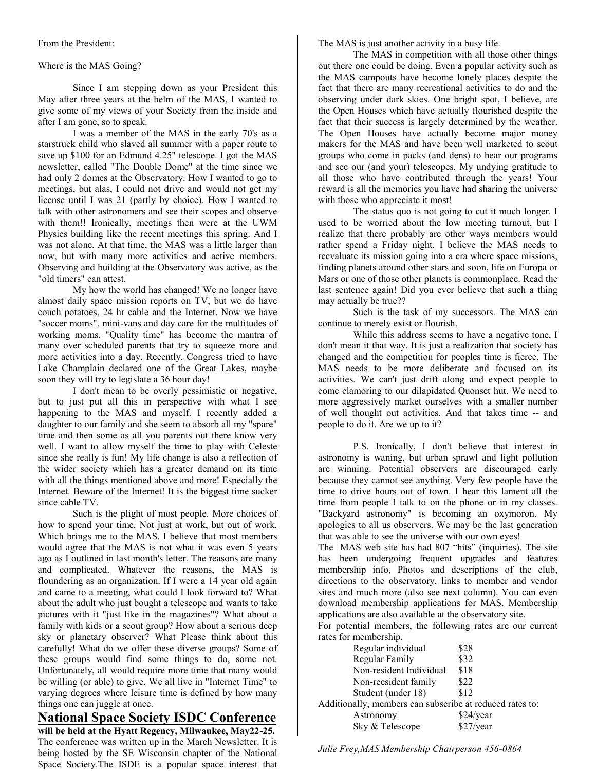From the President:

### Where is the MAS Going?

Since I am stepping down as your President this May after three years at the helm of the MAS, I wanted to give some of my views of your Society from the inside and after I am gone, so to speak.

I was a member of the MAS in the early 70's as a starstruck child who slaved all summer with a paper route to save up \$100 for an Edmund 4.25" telescope. I got the MAS newsletter, called "The Double Dome" at the time since we had only 2 domes at the Observatory. How I wanted to go to meetings, but alas, I could not drive and would not get my license until I was 21 (partly by choice). How I wanted to talk with other astronomers and see their scopes and observe with them!! Ironically, meetings then were at the UWM Physics building like the recent meetings this spring. And I was not alone. At that time, the MAS was a little larger than now, but with many more activities and active members. Observing and building at the Observatory was active, as the "old timers" can attest.

My how the world has changed! We no longer have almost daily space mission reports on TV, but we do have couch potatoes, 24 hr cable and the Internet. Now we have "soccer moms", mini-vans and day care for the multitudes of working moms. "Quality time" has become the mantra of many over scheduled parents that try to squeeze more and more activities into a day. Recently, Congress tried to have Lake Champlain declared one of the Great Lakes, maybe soon they will try to legislate a 36 hour day!

I don't mean to be overly pessimistic or negative, but to just put all this in perspective with what I see happening to the MAS and myself. I recently added a daughter to our family and she seem to absorb all my "spare" time and then some as all you parents out there know very well. I want to allow myself the time to play with Celeste since she really is fun! My life change is also a reflection of the wider society which has a greater demand on its time with all the things mentioned above and more! Especially the Internet. Beware of the Internet! It is the biggest time sucker since cable TV.

Such is the plight of most people. More choices of how to spend your time. Not just at work, but out of work. Which brings me to the MAS. I believe that most members would agree that the MAS is not what it was even 5 years ago as I outlined in last month's letter. The reasons are many and complicated. Whatever the reasons, the MAS is floundering as an organization. If I were a 14 year old again and came to a meeting, what could I look forward to? What about the adult who just bought a telescope and wants to take pictures with it "just like in the magazines"? What about a family with kids or a scout group? How about a serious deep sky or planetary observer? What Please think about this carefully! What do we offer these diverse groups? Some of these groups would find some things to do, some not. Unfortunately, all would require more time that many would be willing (or able) to give. We all live in "Internet Time" to varying degrees where leisure time is defined by how many things one can juggle at once.

# **National Space Society ISDC Conference**

**will be held at the Hyatt Regency, Milwaukee, May22-25.** The conference was written up in the March Newsletter. It is being hosted by the SE Wisconsin chapter of the National Space Society.The ISDE is a popular space interest that The MAS is just another activity in a busy life.

The MAS in competition with all those other things out there one could be doing. Even a popular activity such as the MAS campouts have become lonely places despite the fact that there are many recreational activities to do and the observing under dark skies. One bright spot, I believe, are the Open Houses which have actually flourished despite the fact that their success is largely determined by the weather. The Open Houses have actually become major money makers for the MAS and have been well marketed to scout groups who come in packs (and dens) to hear our programs and see our (and your) telescopes. My undying gratitude to all those who have contributed through the years! Your reward is all the memories you have had sharing the universe with those who appreciate it most!

The status quo is not going to cut it much longer. I used to be worried about the low meeting turnout, but I realize that there probably are other ways members would rather spend a Friday night. I believe the MAS needs to reevaluate its mission going into a era where space missions, finding planets around other stars and soon, life on Europa or Mars or one of those other planets is commonplace. Read the last sentence again! Did you ever believe that such a thing may actually be true??

Such is the task of my successors. The MAS can continue to merely exist or flourish.

While this address seems to have a negative tone, I don't mean it that way. It is just a realization that society has changed and the competition for peoples time is fierce. The MAS needs to be more deliberate and focused on its activities. We can't just drift along and expect people to come clamoring to our dilapidated Quonset hut. We need to more aggressively market ourselves with a smaller number of well thought out activities. And that takes time -- and people to do it. Are we up to it?

P.S. Ironically, I don't believe that interest in astronomy is waning, but urban sprawl and light pollution are winning. Potential observers are discouraged early because they cannot see anything. Very few people have the time to drive hours out of town. I hear this lament all the time from people I talk to on the phone or in my classes. "Backyard astronomy" is becoming an oxymoron. My apologies to all us observers. We may be the last generation that was able to see the universe with our own eyes!

The MAS web site has had 807 "hits" (inquiries). The site has been undergoing frequent upgrades and features membership info, Photos and descriptions of the club, directions to the observatory, links to member and vendor sites and much more (also see next column). You can even download membership applications for MAS. Membership applications are also available at the observatory site.

For potential members, the following rates are our current rates for membership.

| Regular individual                                       | \$28      |
|----------------------------------------------------------|-----------|
| Regular Family                                           | \$32      |
| Non-resident Individual                                  | \$18      |
| Non-reesident family                                     | \$22      |
| Student (under 18)                                       | \$12      |
| Additionally, members can subscribe at reduced rates to: |           |
| Astronomy                                                | \$24/year |
| Sky & Telescope                                          | \$27/year |
|                                                          |           |

*Julie Frey,MAS Membership Chairperson 456-0864*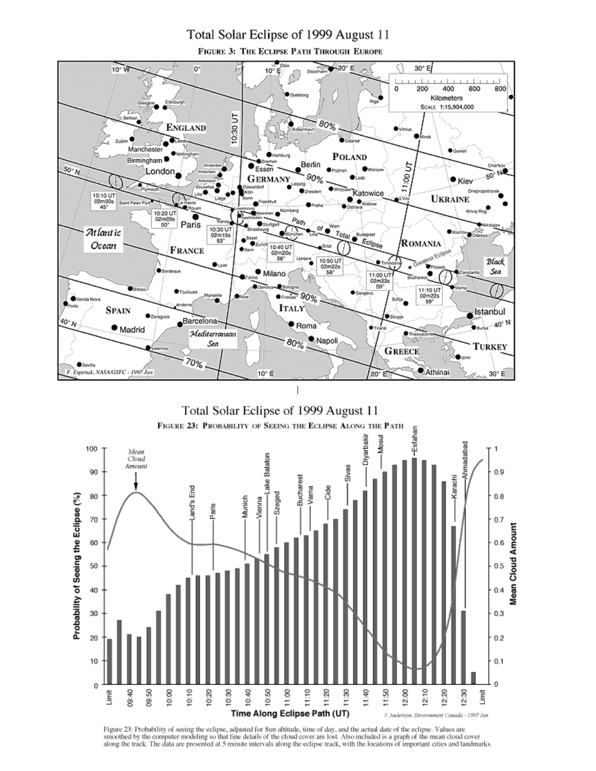# Total Solar Eclipse of 1999 August 11

FIGURE 3: THE ECLIPSE PATH THROUGH EUROPE



Figure 23: Probability of seeing the eclipse, adjusted for Sun altitude, time of day, and the actual date of the eclipse. Values are<br>smoothed by the computer modeling so that fine details of the cloud cover are lost. Also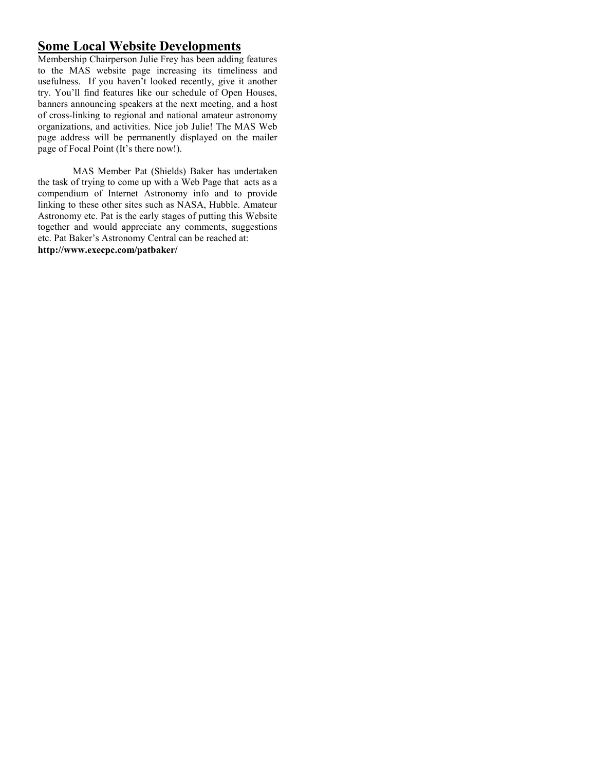# **Some Local Website Developments**

Membership Chairperson Julie Frey has been adding features to the MAS website page increasing its timeliness and usefulness. If you haven't looked recently, give it another try. You'll find features like our schedule of Open Houses, banners announcing speakers at the next meeting, and a host of cross-linking to regional and national amateur astronomy organizations, and activities. Nice job Julie! The MAS Web page address will be permanently displayed on the mailer page of Focal Point (It's there now!).

MAS Member Pat (Shields) Baker has undertaken the task of trying to come up with a Web Page that acts as a compendium of Internet Astronomy info and to provide linking to these other sites such as NASA, Hubble. Amateur Astronomy etc. Pat is the early stages of putting this Website together and would appreciate any comments, suggestions etc. Pat Baker's Astronomy Central can be reached at: **http://www.execpc.com/patbaker/**